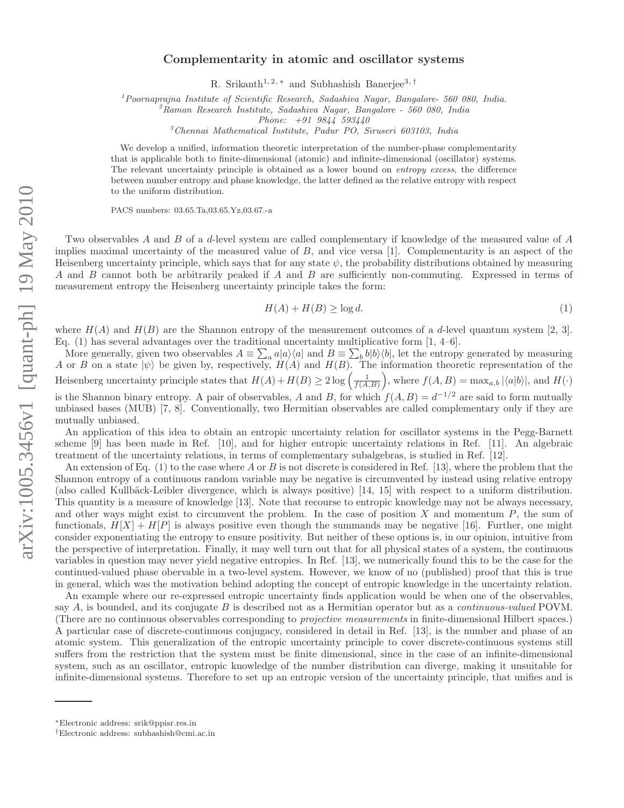## Complementarity in atomic and oscillator systems

R. Srikanth<sup>1, 2, \*</sup> and Subhashish Banerjee<sup>3, †</sup>

<sup>1</sup>*Poornaprajna Institute of Scientific Research, Sadashiva Nagar, Bangalore- 560 080, India.*

<sup>2</sup>*Raman Research Institute, Sadashiva Nagar, Bangalore - 560 080, India*

*Phone: +91 9844 593440*

<sup>3</sup>*Chennai Mathematical Institute, Padur PO, Siruseri 603103, India*

We develop a unified, information theoretic interpretation of the number-phase complementarity that is applicable both to finite-dimensional (atomic) and infinite-dimensional (oscillator) systems. The relevant uncertainty principle is obtained as a lower bound on *entropy excess*, the difference between number entropy and phase knowledge, the latter defined as the relative entropy with respect to the uniform distribution.

PACS numbers: 03.65.Ta,03.65.Yz,03.67.-a

Two observables A and B of a d-level system are called complementary if knowledge of the measured value of A implies maximal uncertainty of the measured value of B, and vice versa [1]. Complementarity is an aspect of the Heisenberg uncertainty principle, which says that for any state  $\psi$ , the probability distributions obtained by measuring A and B cannot both be arbitrarily peaked if A and B are sufficiently non-commuting. Expressed in terms of measurement entropy the Heisenberg uncertainty principle takes the form:

$$
H(A) + H(B) \ge \log d. \tag{1}
$$

where  $H(A)$  and  $H(B)$  are the Shannon entropy of the measurement outcomes of a d-level quantum system [2, 3]. Eq. (1) has several advantages over the traditional uncertainty multiplicative form  $[1, 4-6]$ .

More generally, given two observables  $A \equiv \sum_a a|a\rangle\langle a|$  and  $B \equiv \sum_b b|b\rangle\langle b|$ , let the entropy generated by measuring A or B on a state  $|\psi\rangle$  be given by, respectively,  $H(A)$  and  $H(B)$ . The information theoretic representation of the Heisenberg uncertainty principle states that  $H(A) + H(B) \geq 2 \log \left( \frac{1}{f(A,B)} \right)$ , where  $f(A,B) = \max_{a,b} |\langle a|b \rangle|$ , and  $H(\cdot)$ 

is the Shannon binary entropy. A pair of observables, A and B, for which  $f(A, B) = d^{-1/2}$  are said to form mutually unbiased bases (MUB) [7, 8]. Conventionally, two Hermitian observables are called complementary only if they are mutually unbiased.

An application of this idea to obtain an entropic uncertainty relation for oscillator systems in the Pegg-Barnett scheme [9] has been made in Ref. [10], and for higher entropic uncertainty relations in Ref. [11]. An algebraic treatment of the uncertainty relations, in terms of complementary subalgebras, is studied in Ref. [12].

An extension of Eq. (1) to the case where A or B is not discrete is considered in Ref. [13], where the problem that the Shannon entropy of a continuous random variable may be negative is circumvented by instead using relative entropy (also called Kullbäck-Leibler divergence, which is always positive) [14, 15] with respect to a uniform distribution. This quantity is a measure of knowledge [13]. Note that recourse to entropic knowledge may not be always necessary, and other ways might exist to circumvent the problem. In the case of position X and momentum  $P$ , the sum of functionals,  $H[X] + H[P]$  is always positive even though the summands may be negative [16]. Further, one might consider exponentiating the entropy to ensure positivity. But neither of these options is, in our opinion, intuitive from the perspective of interpretation. Finally, it may well turn out that for all physical states of a system, the continuous variables in question may never yield negative entropies. In Ref. [13], we numerically found this to be the case for the continued-valued phase obervable in a two-level system. However, we know of no (published) proof that this is true in general, which was the motivation behind adopting the concept of entropic knowledge in the uncertainty relation.

An example where our re-expressed entropic uncertainty finds application would be when one of the observables, say  $A$ , is bounded, and its conjugate  $B$  is described not as a Hermitian operator but as a *continuous-valued* POVM. (There are no continuous observables corresponding to projective measurements in finite-dimensional Hilbert spaces.) A particular case of discrete-continuous conjugacy, considered in detail in Ref. [13], is the number and phase of an atomic system. This generalization of the entropic uncertainty principle to cover discrete-continuous systems still suffers from the restriction that the system must be finite dimensional, since in the case of an infinite-dimensional system, such as an oscillator, entropic knowledge of the number distribution can diverge, making it unsuitable for infinite-dimensional systems. Therefore to set up an entropic version of the uncertainty principle, that unifies and is

<sup>∗</sup>Electronic address: srik@ppisr.res.in

<sup>†</sup>Electronic address: subhashish@cmi.ac.in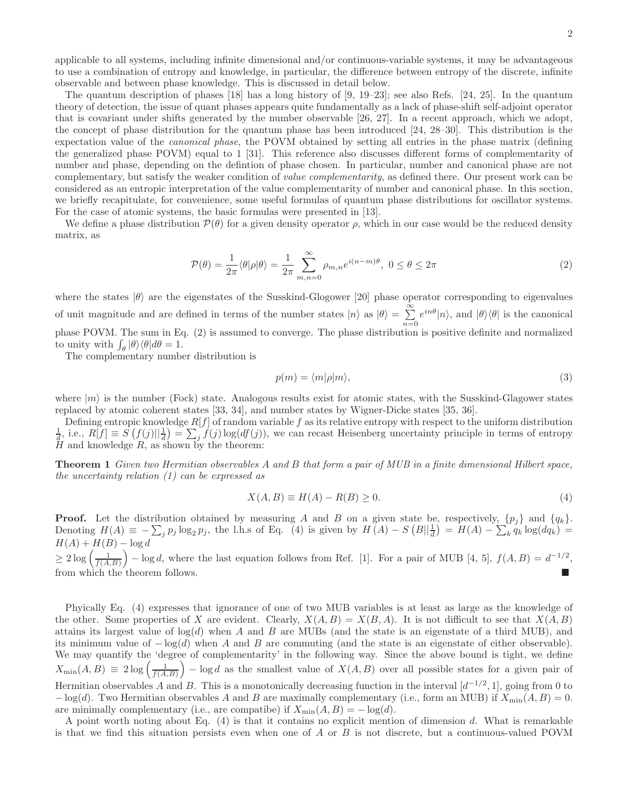applicable to all systems, including infinite dimensional and/or continuous-variable systems, it may be advantageous to use a combination of entropy and knowledge, in particular, the difference between entropy of the discrete, infinite observable and between phase knowledge. This is discussed in detail below.

The quantum description of phases  $[18]$  has a long history of  $[9, 19-23]$ ; see also Refs.  $[24, 25]$ . In the quantum theory of detection, the issue of quant phases appears quite fundamentally as a lack of phase-shift self-adjoint operator that is covariant under shifts generated by the number observable [26, 27]. In a recent approach, which we adopt, the concept of phase distribution for the quantum phase has been introduced [24, 28–30]. This distribution is the expectation value of the canonical phase, the POVM obtained by setting all entries in the phase matrix (defining the generalized phase POVM) equal to 1 [31]. This reference also discusses different forms of complementarity of number and phase, depending on the defintion of phase chosen. In particular, number and canonical phase are not complementary, but satisfy the weaker condition of value complementarity, as defined there. Our present work can be considered as an entropic interpretation of the value complementarity of number and canonical phase. In this section, we briefly recapitulate, for convenience, some useful formulas of quantum phase distributions for oscillator systems. For the case of atomic systems, the basic formulas were presented in [13].

We define a phase distribution  $\mathcal{P}(\theta)$  for a given density operator  $\rho$ , which in our case would be the reduced density matrix, as

$$
\mathcal{P}(\theta) = \frac{1}{2\pi} \langle \theta | \rho | \theta \rangle = \frac{1}{2\pi} \sum_{m,n=0}^{\infty} \rho_{m,n} e^{i(n-m)\theta}, \ 0 \le \theta \le 2\pi
$$
 (2)

where the states  $|\theta\rangle$  are the eigenstates of the Susskind-Glogower [20] phase operator corresponding to eigenvalues of unit magnitude and are defined in terms of the number states  $|n\rangle$  as  $|0\rangle = \sum_{n=1}^{\infty}$  $n=0$  $e^{in\theta}|n\rangle$ , and  $|\theta\rangle\langle\theta|$  is the canonical phase POVM. The sum in Eq.  $(2)$  is assumed to converge. The phase distribution is positive definite and normalized to unity with  $\int_{\theta} |\theta\rangle \langle \theta| d\theta = 1$ .

The complementary number distribution is

$$
p(m) = \langle m|\rho|m\rangle,\tag{3}
$$

where  $|m\rangle$  is the number (Fock) state. Analogous results exist for atomic states, with the Susskind-Glagower states replaced by atomic coherent states [33, 34], and number states by Wigner-Dicke states [35, 36].

Defining entropic knowledge  $R[f]$  of random variable f as its relative entropy with respect to the uniform distribution  $\frac{1}{d}$ , i.e.,  $R[f] \equiv S(f(j)||\frac{1}{d}) = \sum_{j} f(j) \log(df(j))$ , we can recast Heisenberg uncertainty principle in terms of entropy  $H$  and knowledge  $R$ , as shown by the theorem:

Theorem 1 Given two Hermitian observables A and B that form a pair of MUB in a finite dimensional Hilbert space, the uncertainty relation  $(1)$  can be expressed as

$$
X(A,B) \equiv H(A) - R(B) \ge 0.
$$
\n<sup>(4)</sup>

**Proof.** Let the distribution obtained by measuring A and B on a given state be, respectively,  $\{p_j\}$  and  $\{q_k\}$ . Denoting  $H(A) \equiv -\sum_j p_j \log_2 p_j$ , the l.h.s of Eq. (4) is given by  $H(A) - S(B||\frac{1}{d}) = H(A) - \sum_k q_k \log(dq_k) =$  $H(A) + H(B) - \log d$ 

 $\geq 2 \log \left( \frac{1}{f(A,B)} \right) - \log d$ , where the last equation follows from Ref. [1]. For a pair of MUB [4, 5],  $f(A,B) = d^{-1/2}$ , from which the theorem follows.

Phyically Eq. (4) expresses that ignorance of one of two MUB variables is at least as large as the knowledge of the other. Some properties of X are evident. Clearly,  $X(A, B) = X(B, A)$ . It is not difficult to see that  $X(A, B)$ attains its largest value of  $log(d)$  when A and B are MUBs (and the state is an eigenstate of a third MUB), and its minimum value of  $-\log(d)$  when A and B are commuting (and the state is an eigenstate of either observable). We may quantify the 'degree of complementarity' in the following way. Since the above bound is tight, we define  $X_{\text{min}}(A, B) \equiv 2 \log \left( \frac{1}{f(A, B)} \right) - \log d$  as the smallest value of  $X(A, B)$  over all possible states for a given pair of Hermitian observables A and B. This is a monotonically decreasing function in the interval  $[d^{-1/2}, 1]$ , going from 0 to  $-\log(d)$ . Two Hermitian observables A and B are maximally complementary (i.e., form an MUB) if  $X_{\text{min}}(A, B) = 0$ . are minimally complementary (i.e., are compatibe) if  $X_{\text{min}}(A, B) = -\log(d)$ .

A point worth noting about Eq. (4) is that it contains no explicit mention of dimension d. What is remarkable is that we find this situation persists even when one of A or B is not discrete, but a continuous-valued POVM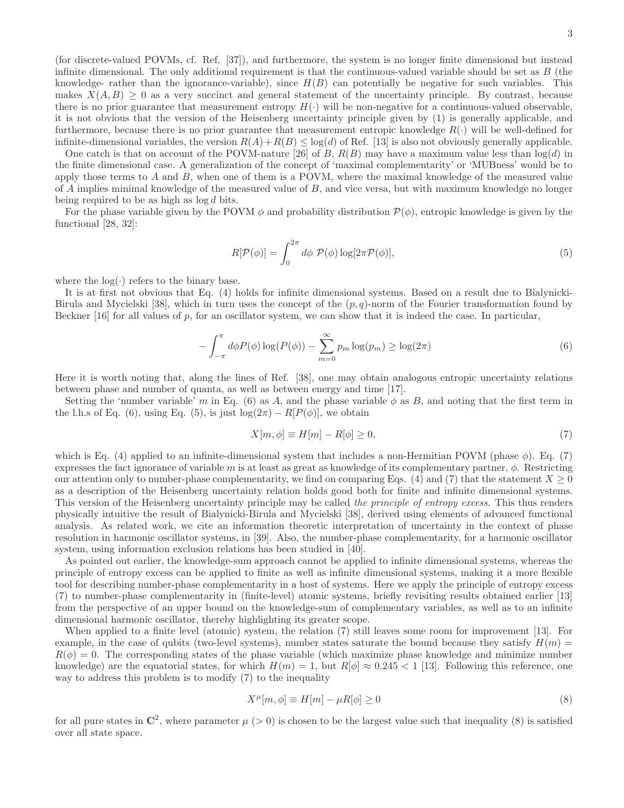(for discrete-valued POVMs, cf. Ref. [37]), and furthermore, the system is no longer finite dimensional but instead infinite dimensional. The only additional requirement is that the continuous-valued variable should be set as  $B$  (the knowledge- rather than the ignorance-variable), since  $H(B)$  can potentially be negative for such variables. This makes  $X(A, B) \geq 0$  as a very succinct and general statement of the uncertainty principle. By contrast, because there is no prior guarantee that measurement entropy  $H(\cdot)$  will be non-negative for a continuous-valued observable, it is not obvious that the version of the Heisenberg uncertainty principle given by (1) is generally applicable, and furthermore, because there is no prior guarantee that measurement entropic knowledge  $R(\cdot)$  will be well-defined for infinite-dimensional variables, the version  $R(A) + R(B) \leq \log(d)$  of Ref. [13] is also not obviously generally applicable.

One catch is that on account of the POVM-nature [26] of B,  $R(B)$  may have a maximum value less than  $log(d)$  in the finite dimensional case. A generalization of the concept of 'maximal complementarity' or 'MUBness' would be to apply those terms to  $A$  and  $B$ , when one of them is a POVM, where the maximal knowledge of the measured value of A implies minimal knowledge of the measured value of B, and vice versa, but with maximum knowledge no longer being required to be as high as  $log d$  bits.

For the phase variable given by the POVM  $\phi$  and probability distribution  $\mathcal{P}(\phi)$ , entropic knowledge is given by the functional [28, 32]:

$$
R[\mathcal{P}(\phi)] = \int_0^{2\pi} d\phi \ \mathcal{P}(\phi) \log[2\pi \mathcal{P}(\phi)],\tag{5}
$$

where the  $log(·)$  refers to the binary base.

It is at first not obvious that Eq. (4) holds for infinite dimensional systems. Based on a result due to Bialynicki-Birula and Mycielski [38], which in turn uses the concept of the  $(p, q)$ -norm of the Fourier transformation found by Beckner  $[16]$  for all values of p, for an oscillator system, we can show that it is indeed the case. In particular,

$$
-\int_{-\pi}^{\pi} d\phi P(\phi) \log(P(\phi)) - \sum_{m=0}^{\infty} p_m \log(p_m) \ge \log(2\pi)
$$
\n(6)

Here it is worth noting that, along the lines of Ref. [38], one may obtain analogous entropic uncertainty relations between phase and number of quanta, as well as between energy and time [17].

Setting the 'number variable' m in Eq. (6) as A, and the phase variable  $\phi$  as B, and noting that the first term in the l.h.s of Eq. (6), using Eq. (5), is just  $log(2\pi) - R[P(\phi)]$ , we obtain

$$
X[m,\phi] \equiv H[m] - R[\phi] \ge 0,\tag{7}
$$

which is Eq. (4) applied to an infinite-dimensional system that includes a non-Hermitian POVM (phase  $\phi$ ). Eq. (7) expresses the fact ignorance of variable m is at least as great as knowledge of its complementary partner,  $\phi$ . Restricting our attention only to number-phase complementarity, we find on comparing Eqs. (4) and (7) that the statement  $X \geq 0$ as a description of the Heisenberg uncertainty relation holds good both for finite and infinite dimensional systems. This version of the Heisenberg uncertainty principle may be called the principle of entropy excess. This thus renders physically intuitive the result of Bialynicki-Birula and Mycielski [38], derived using elements of advanced functional analysis. As related work, we cite an information theoretic interpretation of uncertainty in the context of phase resolution in harmonic oscillator systems, in [39]. Also, the number-phase complementarity, for a harmonic oscillator system, using information exclusion relations has been studied in [40].

As pointed out earlier, the knowledge-sum approach cannot be applied to infinite dimensional systems, whereas the principle of entropy excess can be applied to finite as well as infinite dimensional systems, making it a more flexible tool for describing number-phase complementarity in a host of systems. Here we apply the principle of entropy excess (7) to number-phase complementarity in (finite-level) atomic systems, briefly revisiting results obtained earlier [13] from the perspective of an upper bound on the knowledge-sum of complementary variables, as well as to an infinite dimensional harmonic oscillator, thereby highlighting its greater scope.

When applied to a finite level (atomic) system, the relation (7) still leaves some room for improvement [13]. For example, in the case of qubits (two-level systems), number states saturate the bound because they satisfy  $H(m)$  =  $R(\phi) = 0$ . The corresponding states of the phase variable (which maximize phase knowledge and minimize number knowledge) are the equatorial states, for which  $H(m) = 1$ , but  $R[\phi] \approx 0.245 < 1$  [13]. Following this reference, one way to address this problem is to modify (7) to the inequality

$$
X^{\mu}[m,\phi] \equiv H[m] - \mu R[\phi] \ge 0 \tag{8}
$$

for all pure states in  $\mathbb{C}^2$ , where parameter  $\mu$  (> 0) is chosen to be the largest value such that inequality (8) is satisfied over all state space.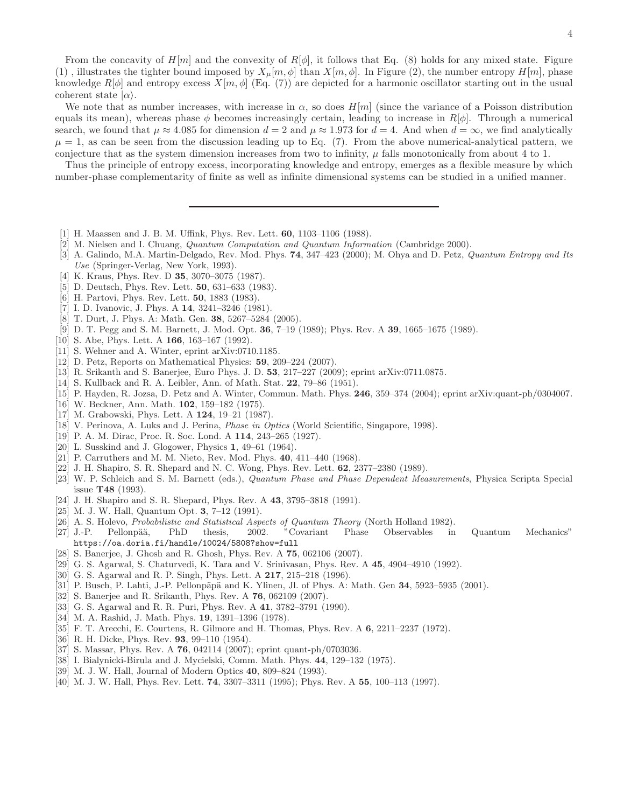From the concavity of  $H[m]$  and the convexity of  $R[\phi]$ , it follows that Eq. (8) holds for any mixed state. Figure (1), illustrates the tighter bound imposed by  $X_{\mu}[m,\phi]$  than  $X[m,\phi]$ . In Figure (2), the number entropy  $H[m]$ , phase knowledge  $R[\phi]$  and entropy excess  $X[m, \phi]$  (Eq. (7)) are depicted for a harmonic oscillator starting out in the usual coherent state  $|\alpha\rangle$ .

We note that as number increases, with increase in  $\alpha$ , so does  $H[m]$  (since the variance of a Poisson distribution equals its mean), whereas phase  $\phi$  becomes increasingly certain, leading to increase in  $R[\phi]$ . Through a numerical search, we found that  $\mu \approx 4.085$  for dimension  $d = 2$  and  $\mu \approx 1.973$  for  $d = 4$ . And when  $d = \infty$ , we find analytically  $\mu = 1$ , as can be seen from the discussion leading up to Eq. (7). From the above numerical-analytical pattern, we conjecture that as the system dimension increases from two to infinity,  $\mu$  falls monotonically from about 4 to 1.

Thus the principle of entropy excess, incorporating knowledge and entropy, emerges as a flexible measure by which number-phase complementarity of finite as well as infinite dimensional systems can be studied in a unified manner.

- [1] H. Maassen and J. B. M. Uffink, Phys. Rev. Lett. 60, 1103–1106 (1988).
- [2] M. Nielsen and I. Chuang, *Quantum Computation and Quantum Information* (Cambridge 2000).
- [3] A. Galindo, M.A. Martin-Delgado, Rev. Mod. Phys. 74, 347–423 (2000); M. Ohya and D. Petz, *Quantum Entropy and Its Use* (Springer-Verlag, New York, 1993).
- [4] K. Kraus, Phys. Rev. D **35**, 3070–3075 (1987).
- [5] D. Deutsch, Phys. Rev. Lett. 50, 631–633 (1983).
- [6] H. Partovi, Phys. Rev. Lett. 50, 1883 (1983).
- [7] I. D. Ivanovic, J. Phys. A 14, 3241–3246 (1981).
- [8] T. Durt, J. Phys. A: Math. Gen. 38, 5267–5284 (2005).
- [9] D. T. Pegg and S. M. Barnett, J. Mod. Opt. 36, 7–19 (1989); Phys. Rev. A 39, 1665–1675 (1989).
- [10] S. Abe, Phys. Lett. A 166, 163–167 (1992).
- [11] S. Wehner and A. Winter, eprint arXiv:0710.1185.
- [12] D. Petz, Reports on Mathematical Physics: 59, 209–224 (2007).
- [13] R. Srikanth and S. Banerjee, Euro Phys. J. D. 53, 217–227 (2009); eprint arXiv:0711.0875.
- [14] S. Kullback and R. A. Leibler, Ann. of Math. Stat. 22, 79–86 (1951).
- [15] P. Hayden, R. Jozsa, D. Petz and A. Winter, Commun. Math. Phys. 246, 359–374 (2004); eprint arXiv:quant-ph/0304007.
- [16] W. Beckner, Ann. Math. **102**, 159-182 (1975).
- [17] M. Grabowski, Phys. Lett. A 124, 19–21 (1987).
- [18] V. Perinova, A. Luks and J. Perina, *Phase in Optics* (World Scientific, Singapore, 1998).
- [19] P. A. M. Dirac, Proc. R. Soc. Lond. A 114, 243–265 (1927).
- [20] L. Susskind and J. Glogower, Physics 1, 49–61 (1964).
- [21] P. Carruthers and M. M. Nieto, Rev. Mod. Phys. 40, 411–440 (1968).
- [22] J. H. Shapiro, S. R. Shepard and N. C. Wong, Phys. Rev. Lett. 62, 2377–2380 (1989).
- [23] W. P. Schleich and S. M. Barnett (eds.), *Quantum Phase and Phase Dependent Measurements*, Physica Scripta Special issue T48 (1993).
- [24] J. H. Shapiro and S. R. Shepard, Phys. Rev. A 43, 3795–3818 (1991).
- [25] M. J. W. Hall, Quantum Opt. 3, 7–12 (1991).
- [26] A. S. Holevo, *Probabilistic and Statistical Aspects of Quantum Theory* (North Holland 1982).
- [27] J.-P. Pellonpää, PhD thesis, 2002. "Covariant Phase Observables in Quantum Mechanics" https://oa.doria.fi/handle/10024/5808?show=full
- [28] S. Banerjee, J. Ghosh and R. Ghosh, Phys. Rev. A 75, 062106 (2007).
- [29] G. S. Agarwal, S. Chaturvedi, K. Tara and V. Srinivasan, Phys. Rev. A 45, 4904–4910 (1992).
- [30] G. S. Agarwal and R. P. Singh, Phys. Lett. A 217, 215–218 (1996).
- [31] P. Busch, P. Lahti, J.-P. Pellonpäpä and K. Ylinen, Jl. of Phys. A: Math. Gen  $34$ , 5923–5935 (2001).
- [32] S. Banerjee and R. Srikanth, Phys. Rev. A 76, 062109 (2007).
- [33] G. S. Agarwal and R. R. Puri, Phys. Rev. A 41, 3782–3791 (1990).
- [34] M. A. Rashid, J. Math. Phys. 19, 1391–1396 (1978).
- [35] F. T. Arecchi, E. Courtens, R. Gilmore and H. Thomas, Phys. Rev. A 6, 2211–2237 (1972).
- [36] R. H. Dicke, Phys. Rev. 93, 99-110 (1954).
- [37] S. Massar, Phys. Rev. A **76**, 042114 (2007); eprint quant-ph/0703036.
- [38] I. Bialynicki-Birula and J. Mycielski, Comm. Math. Phys. 44, 129–132 (1975).
- [39] M. J. W. Hall, Journal of Modern Optics 40, 809–824 (1993).
- [40] M. J. W. Hall, Phys. Rev. Lett. 74, 3307–3311 (1995); Phys. Rev. A 55, 100–113 (1997).